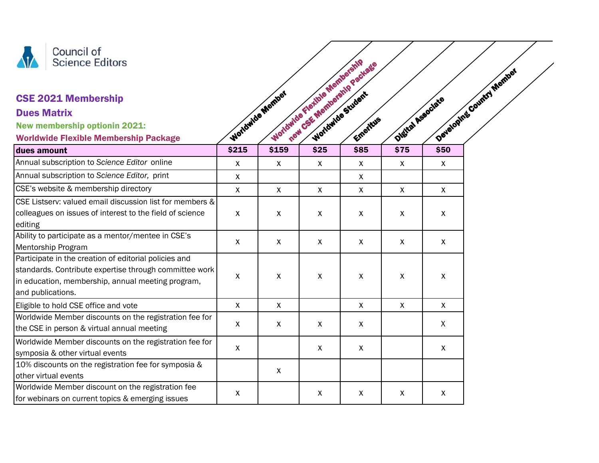

## CSE 2021 Membership

## Dues Matrix

| Council of<br><b>Science Editors</b>                                                                                                                                                      |              |                  | Worldwide Flexible Membership | They CSE Membership Package |                           |              | Developing Country Member |
|-------------------------------------------------------------------------------------------------------------------------------------------------------------------------------------------|--------------|------------------|-------------------------------|-----------------------------|---------------------------|--------------|---------------------------|
| <b>CSE 2021 Membership</b>                                                                                                                                                                |              | Worldwide Member |                               |                             | Digital Associate         |              |                           |
| <b>Dues Matrix</b>                                                                                                                                                                        |              |                  |                               |                             |                           |              |                           |
| <b>New membership optionin 2021:</b>                                                                                                                                                      |              |                  |                               |                             |                           |              |                           |
| <b>Worldwide Flexible Membership Package</b>                                                                                                                                              |              |                  |                               | Emeritus                    |                           |              |                           |
| dues amount                                                                                                                                                                               | \$215        | \$159            | \$25                          | \$85                        | \$75                      | \$50         |                           |
| Annual subscription to Science Editor online                                                                                                                                              | X            | X                | $\boldsymbol{\mathsf{X}}$     | $\boldsymbol{\mathsf{X}}$   | $\boldsymbol{\mathsf{X}}$ | $\mathsf{X}$ |                           |
| Annual subscription to Science Editor, print                                                                                                                                              | $\mathsf{X}$ |                  |                               | X                           |                           |              |                           |
| CSE's website & membership directory                                                                                                                                                      | $\mathsf{X}$ | $\mathsf{x}$     | X                             | $\boldsymbol{\mathsf{X}}$   | $\mathsf{X}$              | $\mathsf{X}$ |                           |
| CSE Listserv: valued email discussion list for members &                                                                                                                                  |              |                  |                               |                             |                           |              |                           |
| colleagues on issues of interest to the field of science<br>editing                                                                                                                       | $\mathsf{X}$ | X                | X                             | $\boldsymbol{\mathsf{X}}$   | $\boldsymbol{\mathsf{X}}$ | $\mathsf{X}$ |                           |
| Ability to participate as a mentor/mentee in CSE's<br>Mentorship Program                                                                                                                  | X            | X                | $\mathsf{X}$                  | $\boldsymbol{\mathsf{X}}$   | $\boldsymbol{\mathsf{X}}$ | $\mathsf{X}$ |                           |
| Participate in the creation of editorial policies and<br>standards. Contribute expertise through committee work<br>in education, membership, annual meeting program,<br>and publications. | X            | X                | X                             | $\boldsymbol{\mathsf{X}}$   | $\boldsymbol{\mathsf{X}}$ | $\mathsf{X}$ |                           |
| Eligible to hold CSE office and vote                                                                                                                                                      | $\mathsf{X}$ | X                |                               | $\boldsymbol{\mathsf{X}}$   | $\boldsymbol{X}$          | $\mathsf{X}$ |                           |
| Worldwide Member discounts on the registration fee for<br>the CSE in person & virtual annual meeting                                                                                      | X            | X                | X                             | $\boldsymbol{\mathsf{X}}$   |                           | X            |                           |
| Worldwide Member discounts on the registration fee for<br>symposia & other virtual events                                                                                                 | $\mathsf{X}$ |                  | X                             | $\boldsymbol{\mathsf{X}}$   |                           | $\mathsf{X}$ |                           |
| 10% discounts on the registration fee for symposia &<br>other virtual events                                                                                                              |              | X                |                               |                             |                           |              |                           |
| Worldwide Member discount on the registration fee<br>for webinars on current topics & emerging issues                                                                                     | X            |                  | X                             | $\boldsymbol{\mathsf{X}}$   | $\boldsymbol{\mathsf{X}}$ | $\mathsf{X}$ |                           |